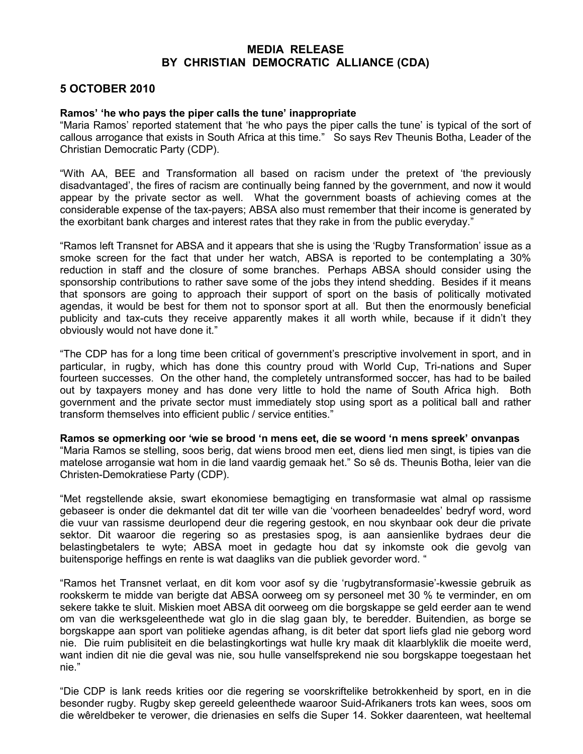## MEDIA RELEASE BY CHRISTIAN DEMOCRATIC ALLIANCE (CDA)

## 5 OCTOBER 2010

## Ramos' 'he who pays the piper calls the tune' inappropriate

"Maria Ramos' reported statement that 'he who pays the piper calls the tune' is typical of the sort of callous arrogance that exists in South Africa at this time." So says Rev Theunis Botha, Leader of the Christian Democratic Party (CDP).

"With AA, BEE and Transformation all based on racism under the pretext of 'the previously disadvantaged', the fires of racism are continually being fanned by the government, and now it would appear by the private sector as well. What the government boasts of achieving comes at the considerable expense of the tax-payers; ABSA also must remember that their income is generated by the exorbitant bank charges and interest rates that they rake in from the public everyday."

"Ramos left Transnet for ABSA and it appears that she is using the 'Rugby Transformation' issue as a smoke screen for the fact that under her watch, ABSA is reported to be contemplating a 30% reduction in staff and the closure of some branches. Perhaps ABSA should consider using the sponsorship contributions to rather save some of the jobs they intend shedding. Besides if it means that sponsors are going to approach their support of sport on the basis of politically motivated agendas, it would be best for them not to sponsor sport at all. But then the enormously beneficial publicity and tax-cuts they receive apparently makes it all worth while, because if it didn't they obviously would not have done it."

"The CDP has for a long time been critical of government's prescriptive involvement in sport, and in particular, in rugby, which has done this country proud with World Cup, Tri-nations and Super fourteen successes. On the other hand, the completely untransformed soccer, has had to be bailed out by taxpayers money and has done very little to hold the name of South Africa high. Both government and the private sector must immediately stop using sport as a political ball and rather transform themselves into efficient public / service entities."

Ramos se opmerking oor 'wie se brood 'n mens eet, die se woord 'n mens spreek' onvanpas "Maria Ramos se stelling, soos berig, dat wiens brood men eet, diens lied men singt, is tipies van die matelose arrogansie wat hom in die land vaardig gemaak het." So sê ds. Theunis Botha, leier van die Christen-Demokratiese Party (CDP).

"Met regstellende aksie, swart ekonomiese bemagtiging en transformasie wat almal op rassisme gebaseer is onder die dekmantel dat dit ter wille van die 'voorheen benadeeldes' bedryf word, word die vuur van rassisme deurlopend deur die regering gestook, en nou skynbaar ook deur die private sektor. Dit waaroor die regering so as prestasies spog, is aan aansienlike bydraes deur die belastingbetalers te wyte; ABSA moet in gedagte hou dat sy inkomste ook die gevolg van buitensporige heffings en rente is wat daagliks van die publiek gevorder word. "

"Ramos het Transnet verlaat, en dit kom voor asof sy die 'rugbytransformasie'-kwessie gebruik as rookskerm te midde van berigte dat ABSA oorweeg om sy personeel met 30 % te verminder, en om sekere takke te sluit. Miskien moet ABSA dit oorweeg om die borgskappe se geld eerder aan te wend om van die werksgeleenthede wat glo in die slag gaan bly, te beredder. Buitendien, as borge se borgskappe aan sport van politieke agendas afhang, is dit beter dat sport liefs glad nie geborg word nie. Die ruim publisiteit en die belastingkortings wat hulle kry maak dit klaarblyklik die moeite werd, want indien dit nie die geval was nie, sou hulle vanselfsprekend nie sou borgskappe toegestaan het nie."

"Die CDP is lank reeds krities oor die regering se voorskriftelike betrokkenheid by sport, en in die besonder rugby. Rugby skep gereeld geleenthede waaroor Suid-Afrikaners trots kan wees, soos om die wêreldbeker te verower, die drienasies en selfs die Super 14. Sokker daarenteen, wat heeltemal